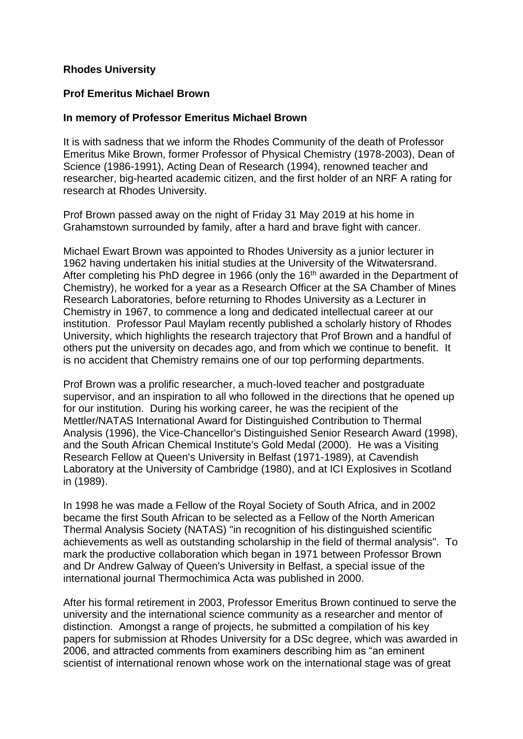## **Rhodes University**

## **Prof Emeritus Michael Brown**

## **In memory of Professor Emeritus Michael Brown**

It is with sadness that we inform the Rhodes Community of the death of Professor Emeritus Mike Brown, former Professor of Physical Chemistry (1978-2003), Dean of Science (1986-1991), Acting Dean of Research (1994), renowned teacher and researcher, big-hearted academic citizen, and the first holder of an NRF A rating for research at Rhodes University.

Prof Brown passed away on the night of Friday 31 May 2019 at his home in Grahamstown surrounded by family, after a hard and brave fight with cancer.

Michael Ewart Brown was appointed to Rhodes University as a junior lecturer in 1962 having undertaken his initial studies at the University of the Witwatersrand. After completing his PhD degree in 1966 (only the 16<sup>th</sup> awarded in the Department of Chemistry), he worked for a year as a Research Officer at the SA Chamber of Mines Research Laboratories, before returning to Rhodes University as a Lecturer in Chemistry in 1967, to commence a long and dedicated intellectual career at our institution. Professor Paul Maylam recently published a scholarly history of Rhodes University, which highlights the research trajectory that Prof Brown and a handful of others put the university on decades ago, and from which we continue to benefit. It is no accident that Chemistry remains one of our top performing departments.

Prof Brown was a prolific researcher, a much-loved teacher and postgraduate supervisor, and an inspiration to all who followed in the directions that he opened up for our institution. During his working career, he was the recipient of the Mettler/NATAS International Award for Distinguished Contribution to Thermal Analysis (1996), the Vice-Chancellor's Distinguished Senior Research Award (1998), and the South African Chemical Institute's Gold Medal (2000). He was a Visiting Research Fellow at Queen's University in Belfast (1971-1989), at Cavendish Laboratory at the University of Cambridge (1980), and at ICI Explosives in Scotland in (1989).

In 1998 he was made a Fellow of the Royal Society of South Africa, and in 2002 became the first South African to be selected as a Fellow of the North American Thermal Analysis Society (NATAS) "in recognition of his distinguished scientific achievements as well as outstanding scholarship in the field of thermal analysis". To mark the productive collaboration which began in 1971 between Professor Brown and Dr Andrew Galway of Queen's University in Belfast, a special issue of the international journal Thermochimica Acta was published in 2000.

After his formal retirement in 2003, Professor Emeritus Brown continued to serve the university and the international science community as a researcher and mentor of distinction. Amongst a range of projects, he submitted a compilation of his key papers for submission at Rhodes University for a DSc degree, which was awarded in 2006, and attracted comments from examiners describing him as "an eminent scientist of international renown whose work on the international stage was of great